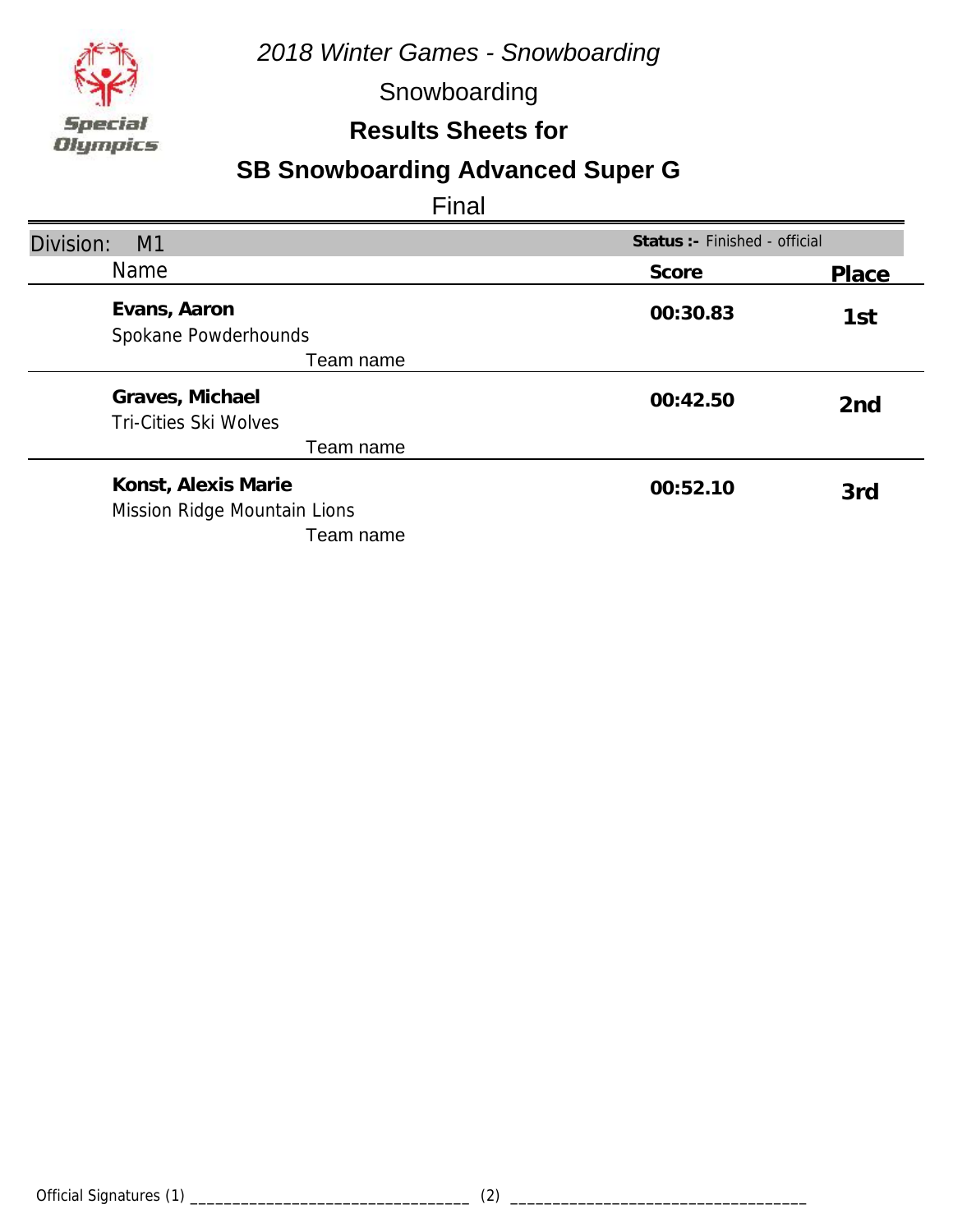

Snowboarding

### **Results Sheets for**

## **SB Snowboarding Advanced Super G**

| Division:<br>M <sub>1</sub>                         | Status: - Finished - official |                 |
|-----------------------------------------------------|-------------------------------|-----------------|
| <b>Name</b>                                         | Score                         | Place           |
| Evans, Aaron<br>Spokane Powderhounds                | 00:30.83                      | 1st             |
| Team name                                           |                               |                 |
| Graves, Michael<br><b>Tri-Cities Ski Wolves</b>     | 00:42.50                      | 2 <sub>nd</sub> |
| Team name                                           |                               |                 |
| Konst, Alexis Marie<br>Mission Ridge Mountain Lions | 00:52.10                      | 3rd             |
| Team name                                           |                               |                 |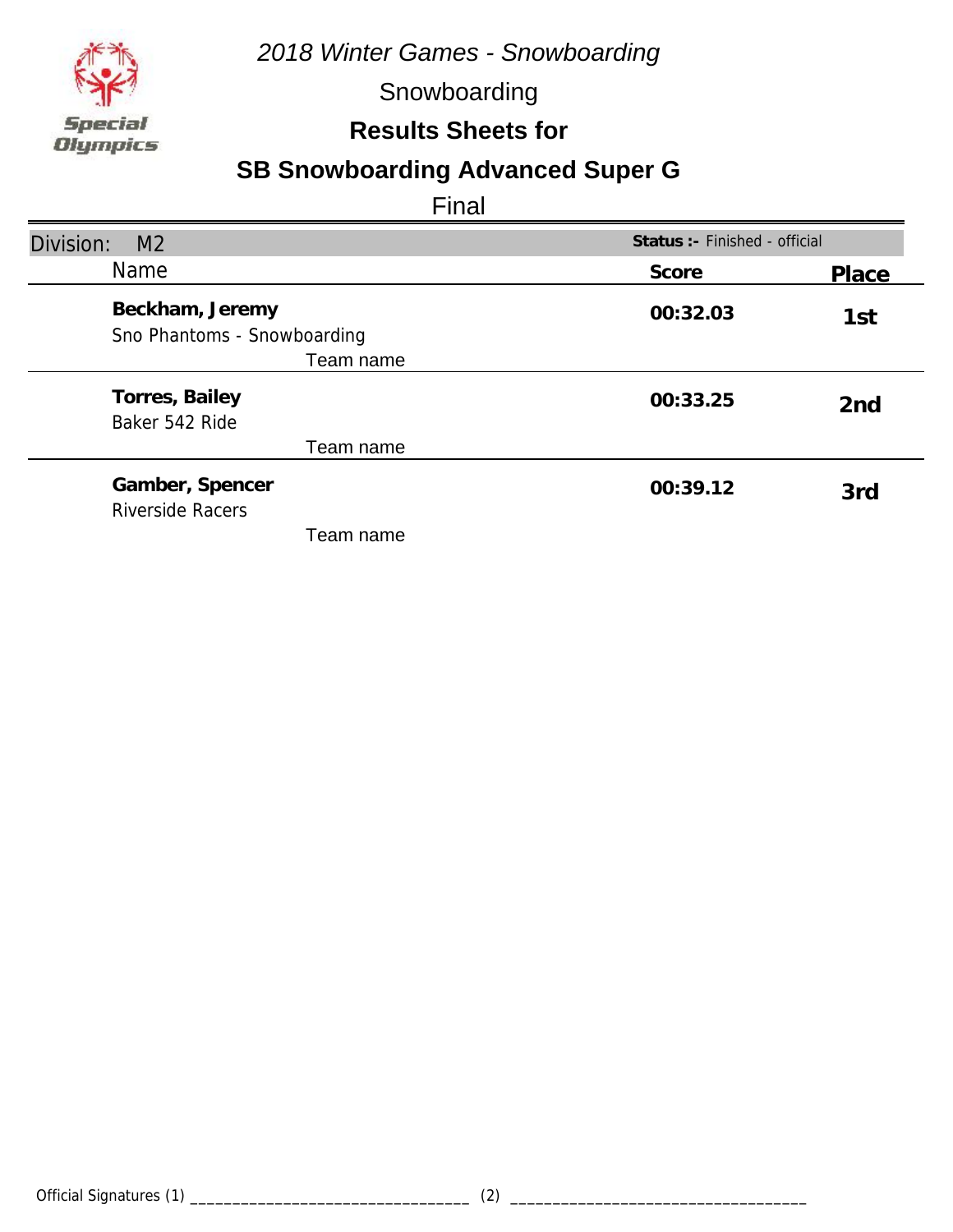

Snowboarding

#### **Results Sheets for**

## **SB Snowboarding Advanced Super G**

| Division:<br>M <sub>2</sub>                                 | Status : - Finished - official |                 |
|-------------------------------------------------------------|--------------------------------|-----------------|
| <b>Name</b>                                                 | Score                          | Place           |
| Beckham, Jeremy<br>Sno Phantoms - Snowboarding<br>Team name | 00:32.03                       | 1st             |
| Torres, Bailey<br>Baker 542 Ride                            | 00:33.25                       | 2 <sub>nd</sub> |
| Team name                                                   |                                |                 |
| Gamber, Spencer<br><b>Riverside Racers</b>                  | 00:39.12                       | 3rd             |
| Team name                                                   |                                |                 |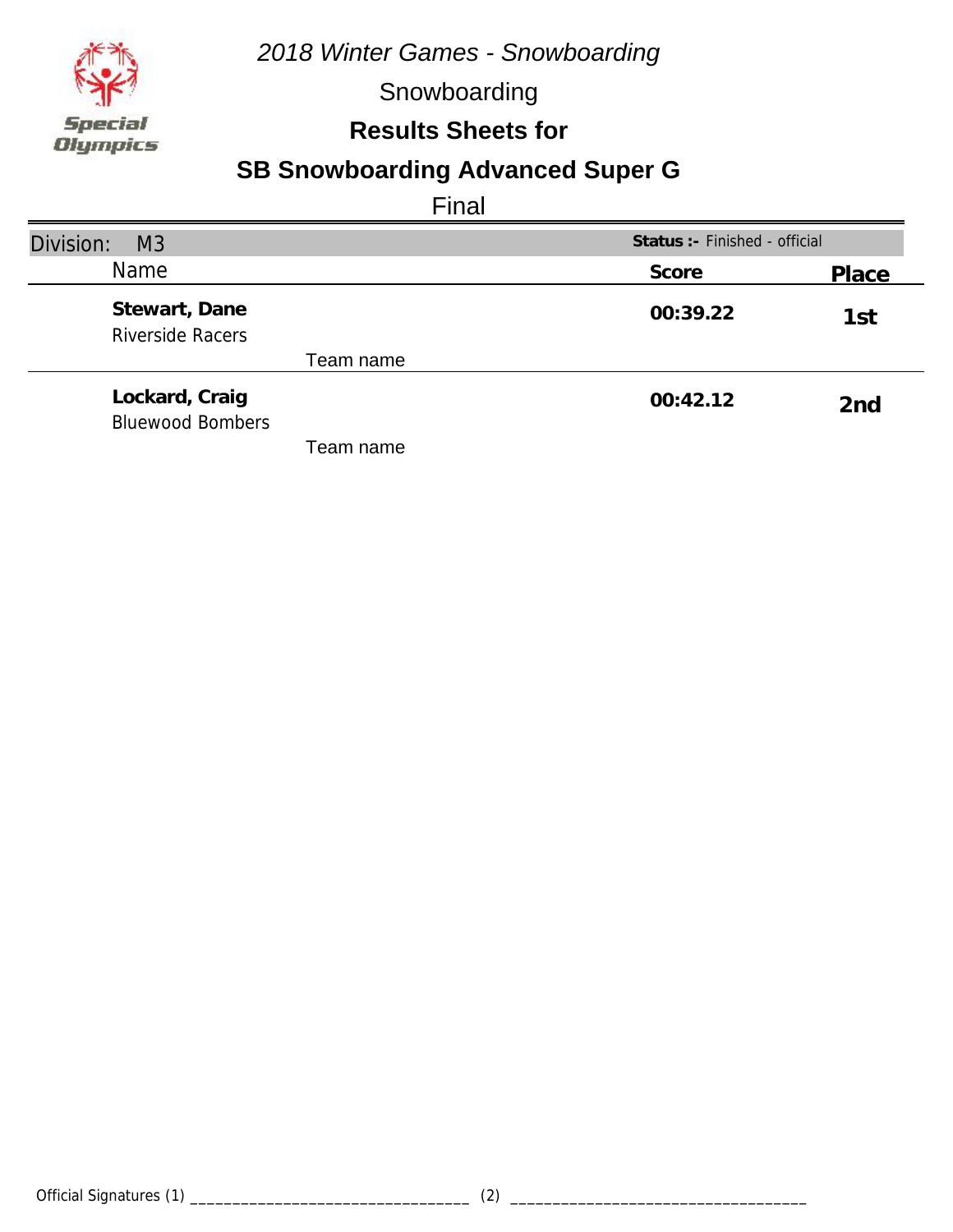

Snowboarding

#### **Results Sheets for**

### **SB Snowboarding Advanced Super G**

| Division:<br>M <sub>3</sub>               | Status :- Finished - official |                 |
|-------------------------------------------|-------------------------------|-----------------|
| <b>Name</b>                               | Score                         | Place           |
| Stewart, Dane<br><b>Riverside Racers</b>  | 00:39.22                      | 1st             |
| Team name                                 |                               |                 |
| Lockard, Craig<br><b>Bluewood Bombers</b> | 00:42.12                      | 2 <sub>nd</sub> |
| Team name                                 |                               |                 |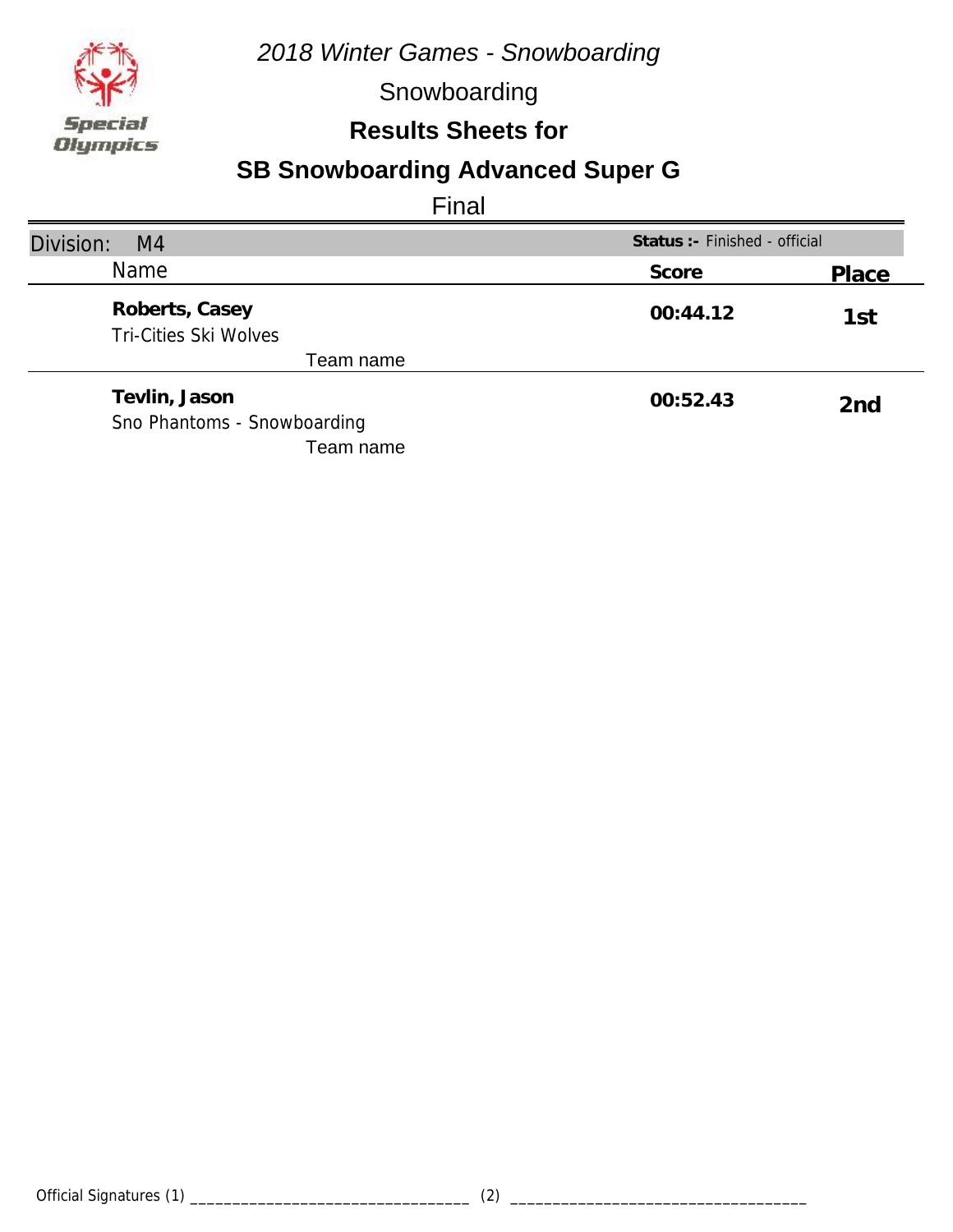

Snowboarding

#### **Results Sheets for**

### **SB Snowboarding Advanced Super G**

| Division:<br>M <sub>4</sub>                    | Status : - Finished - official |       |
|------------------------------------------------|--------------------------------|-------|
| Name                                           | Score                          | Place |
| Roberts, Casey<br><b>Tri-Cities Ski Wolves</b> | 00:44.12                       | 1st   |
| Team name                                      |                                |       |
| Tevlin, Jason<br>Sno Phantoms - Snowboarding   | 00:52.43                       | 2nd   |
| Team name                                      |                                |       |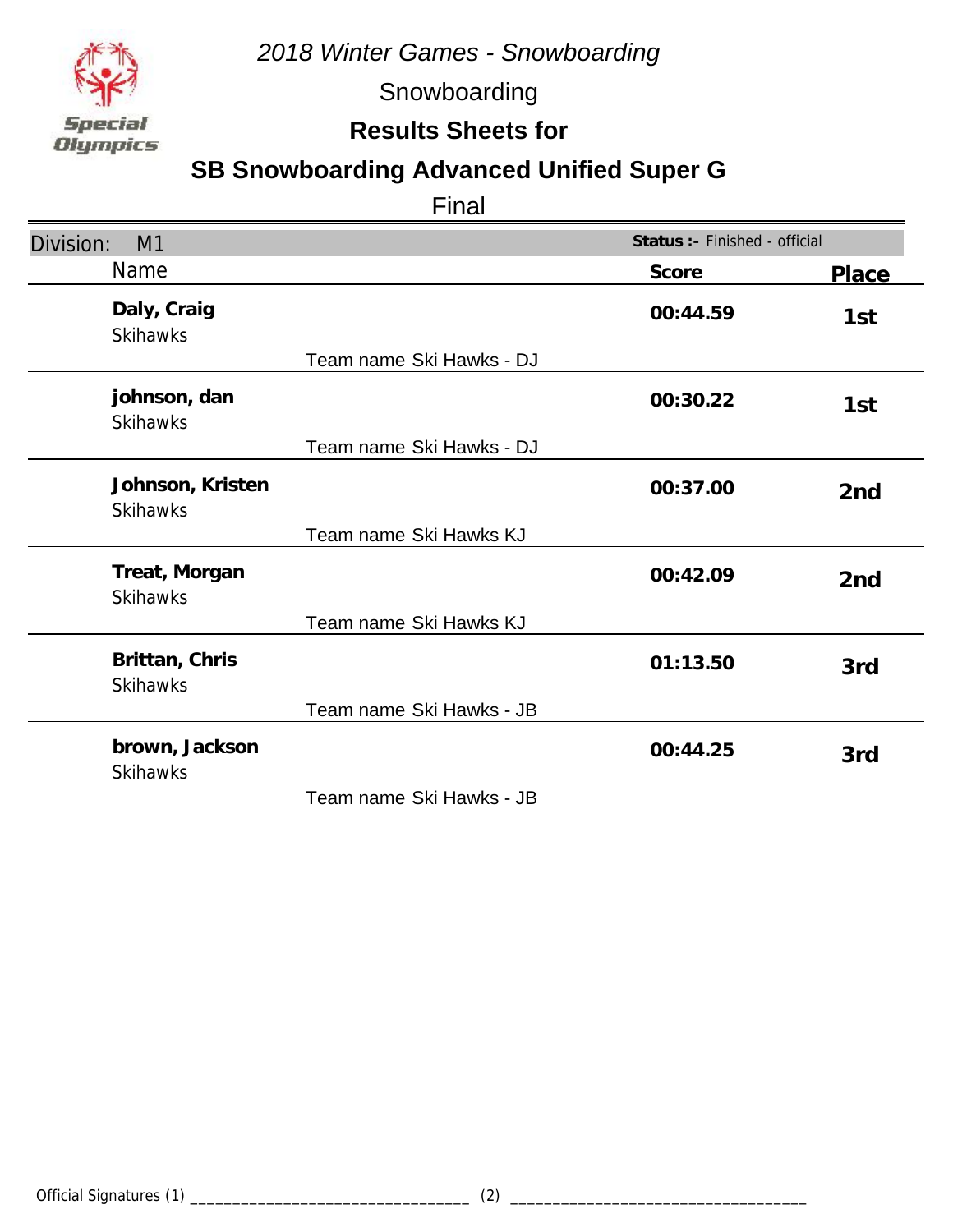

Snowboarding

### **Results Sheets for**

### **SB Snowboarding Advanced Unified Super G**

| M1<br>Division:                     |                          | Status :- Finished - official |                 |
|-------------------------------------|--------------------------|-------------------------------|-----------------|
| <b>Name</b>                         |                          | Score                         | <b>Place</b>    |
| Daly, Craig<br><b>Skihawks</b>      |                          | 00:44.59                      | 1st             |
|                                     | Team name Ski Hawks - DJ |                               |                 |
| johnson, dan<br><b>Skihawks</b>     |                          | 00:30.22                      | 1st             |
|                                     | Team name Ski Hawks - DJ |                               |                 |
| Johnson, Kristen<br><b>Skihawks</b> |                          | 00:37.00                      | 2 <sub>nd</sub> |
|                                     | Team name Ski Hawks KJ   |                               |                 |
| Treat, Morgan<br><b>Skihawks</b>    |                          | 00:42.09                      | 2 <sub>nd</sub> |
|                                     | Team name Ski Hawks KJ   |                               |                 |
| Brittan, Chris<br><b>Skihawks</b>   |                          | 01:13.50                      | 3rd             |
|                                     | Team name Ski Hawks - JB |                               |                 |
| brown, Jackson<br><b>Skihawks</b>   |                          | 00:44.25                      | 3rd             |
|                                     | Team name Ski Hawks - JB |                               |                 |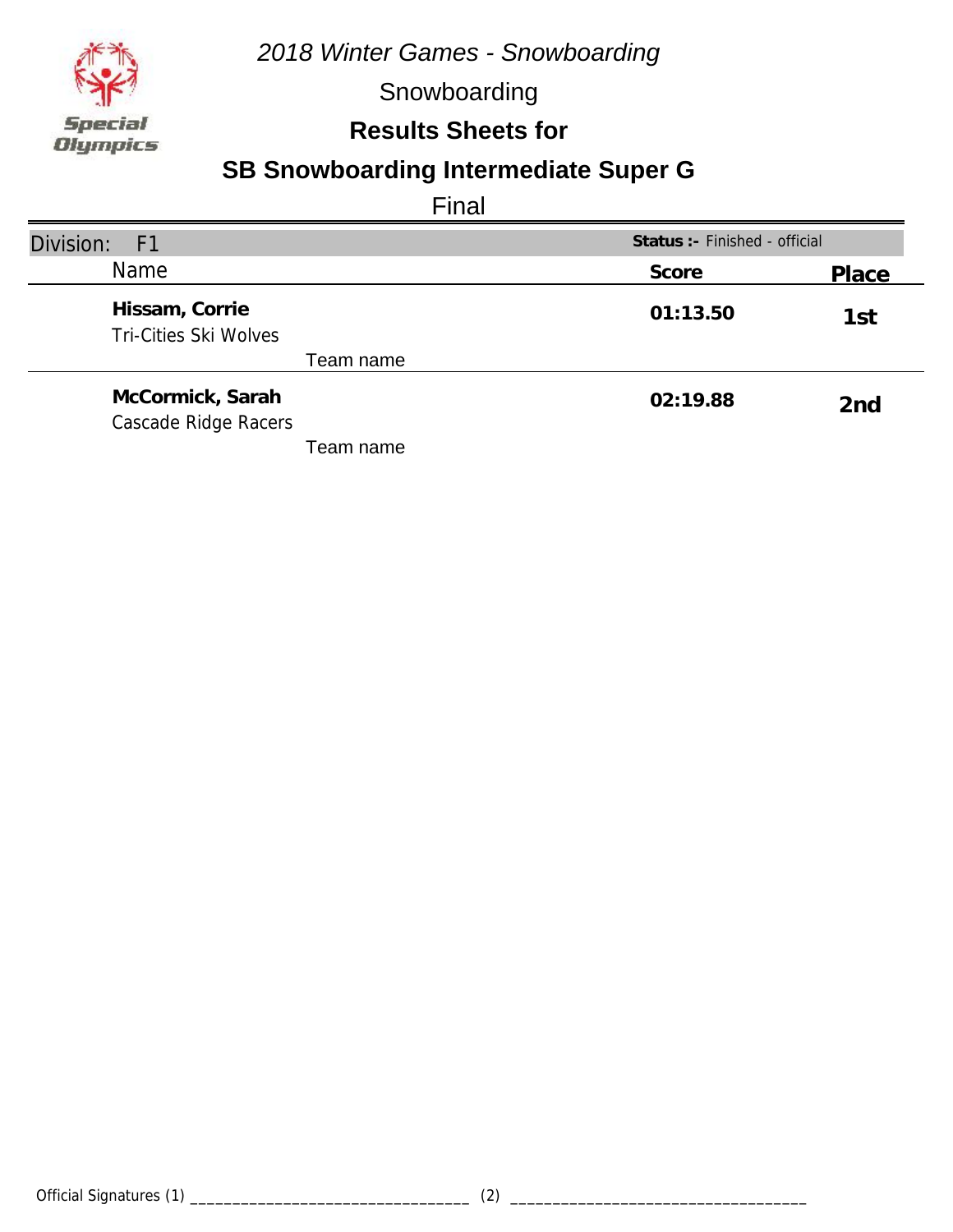

Snowboarding

### **Results Sheets for**

# **SB Snowboarding Intermediate Super G**

| Division:<br>- F1                              | Status :- Finished - official |                 |
|------------------------------------------------|-------------------------------|-----------------|
| Name                                           | Score                         | Place           |
| Hissam, Corrie<br><b>Tri-Cities Ski Wolves</b> | 01:13.50                      | 1st             |
| Team name                                      |                               |                 |
| McCormick, Sarah<br>Cascade Ridge Racers       | 02:19.88                      | 2 <sub>nd</sub> |
| Геаm name                                      |                               |                 |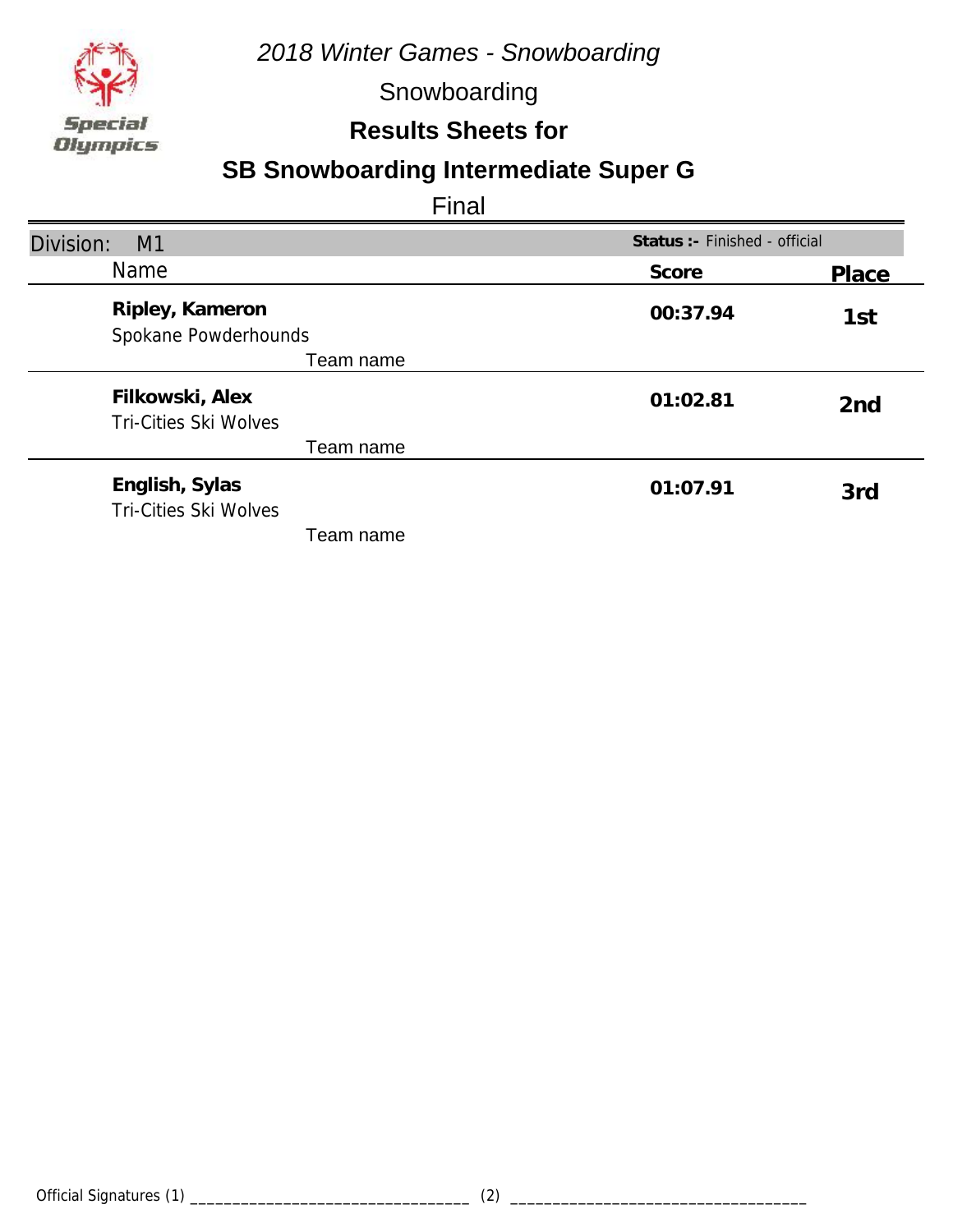

Snowboarding

#### **Results Sheets for**

# **SB Snowboarding Intermediate Super G**

| Division:<br>M1                                 | Status : - Finished - official |                 |
|-------------------------------------------------|--------------------------------|-----------------|
| <b>Name</b>                                     | Score                          | Place           |
| Ripley, Kameron<br>Spokane Powderhounds         | 00:37.94                       | 1st             |
| Team name                                       |                                |                 |
| Filkowski, Alex<br><b>Tri-Cities Ski Wolves</b> | 01:02.81                       | 2 <sub>nd</sub> |
| Team name                                       |                                |                 |
| English, Sylas<br>Tri-Cities Ski Wolves         | 01:07.91                       | 3rd             |
| Team name                                       |                                |                 |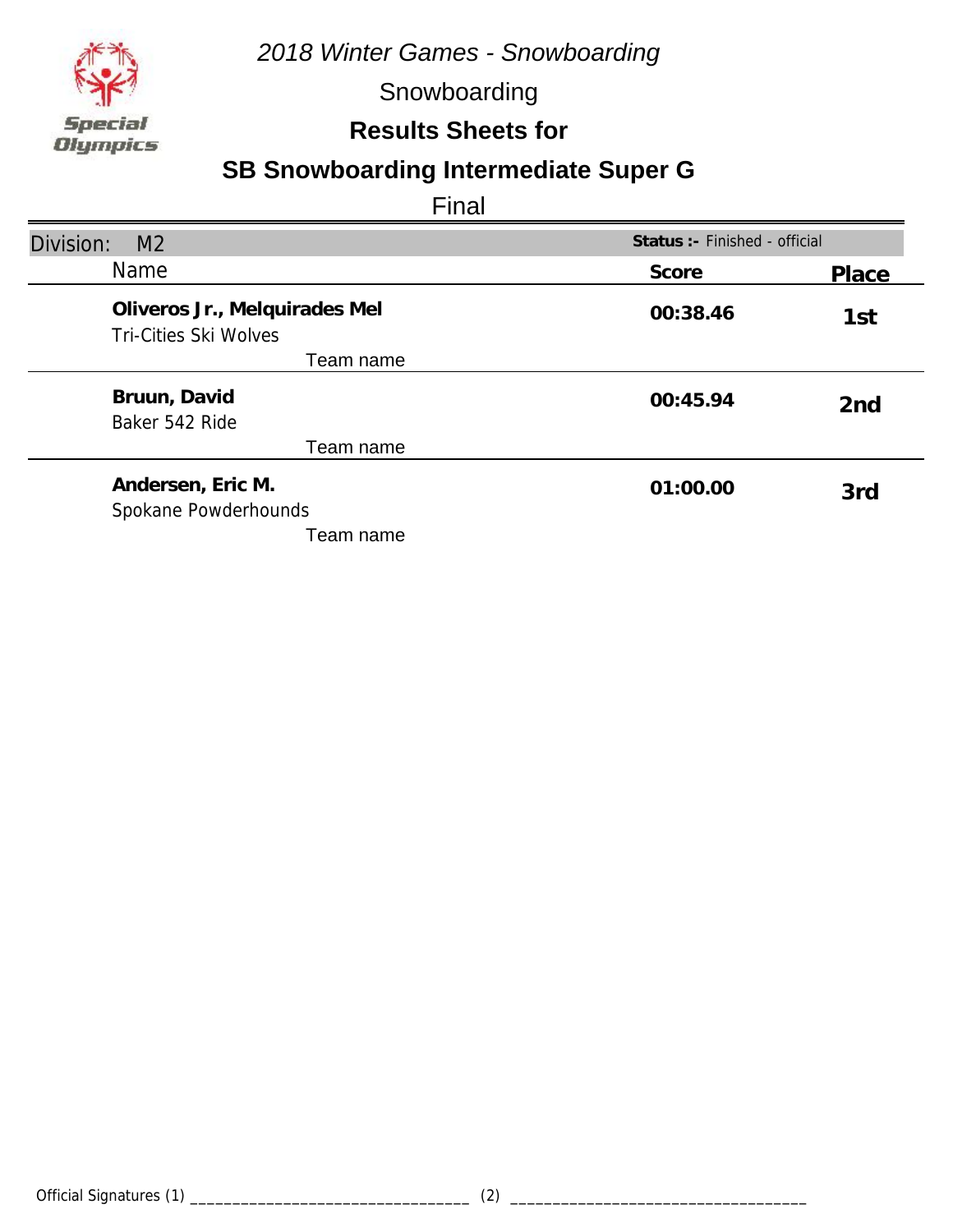

Snowboarding

#### **Results Sheets for**

# **SB Snowboarding Intermediate Super G**

| Division:<br>M <sub>2</sub>                                   | Status : - Finished - official |                 |
|---------------------------------------------------------------|--------------------------------|-----------------|
| <b>Name</b>                                                   | Score                          | Place           |
| Oliveros Jr., Melquirades Mel<br><b>Tri-Cities Ski Wolves</b> | 00:38.46                       | 1st             |
| Team name                                                     |                                |                 |
| Bruun, David<br>Baker 542 Ride                                | 00:45.94                       | 2 <sub>nd</sub> |
| Team name                                                     |                                |                 |
| Andersen, Eric M.<br>Spokane Powderhounds                     | 01:00.00                       | 3rd             |
| Team name                                                     |                                |                 |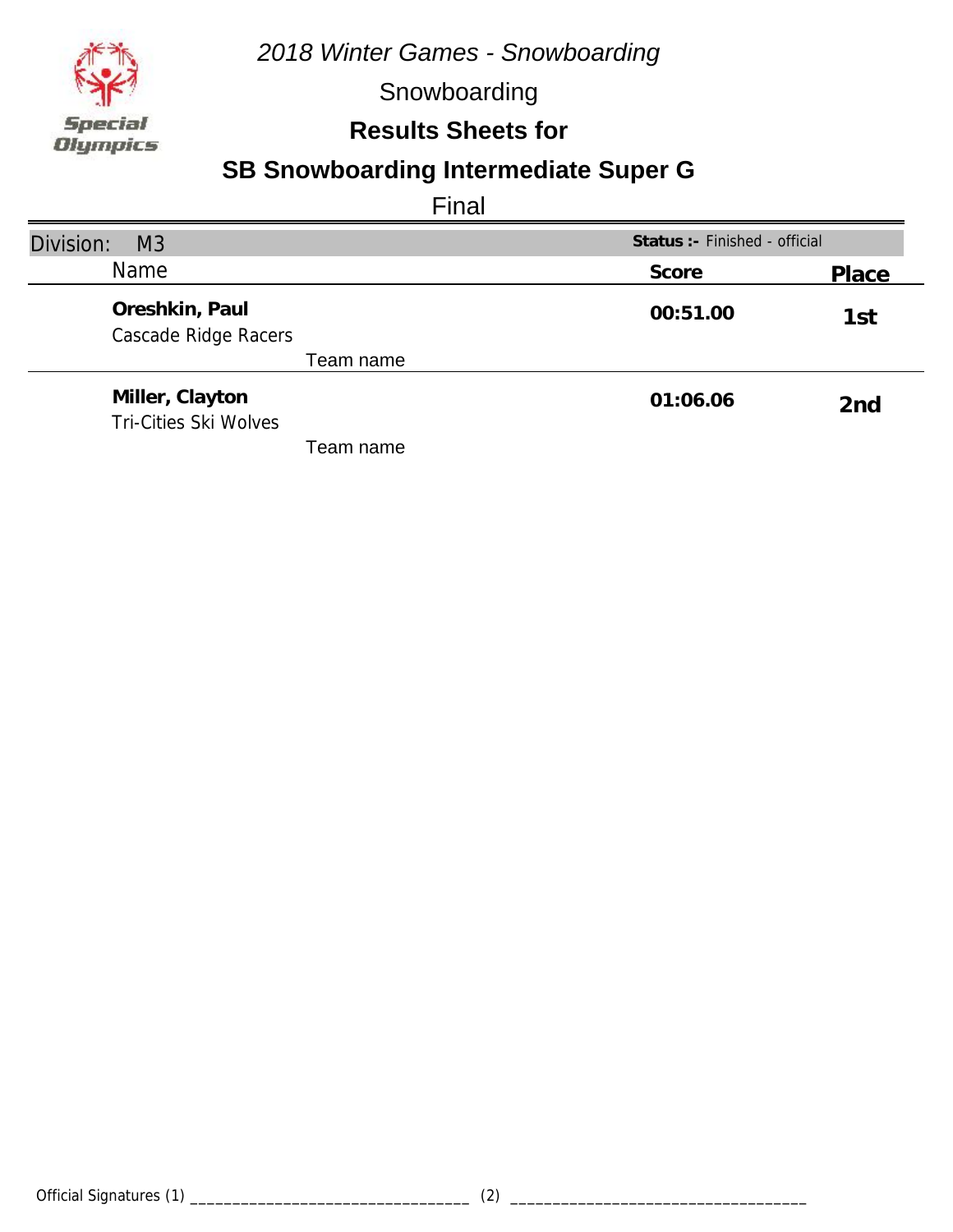

Snowboarding

### **Results Sheets for**

# **SB Snowboarding Intermediate Super G**

| Division:<br>M <sub>3</sub>                     | Status :- Finished - official |                 |
|-------------------------------------------------|-------------------------------|-----------------|
| Name                                            | Score                         | Place           |
| Oreshkin, Paul<br>Cascade Ridge Racers          | 00:51.00                      | 1st             |
| Team name                                       |                               |                 |
| Miller, Clayton<br><b>Tri-Cities Ski Wolves</b> | 01:06.06                      | 2 <sub>nd</sub> |
| Team name                                       |                               |                 |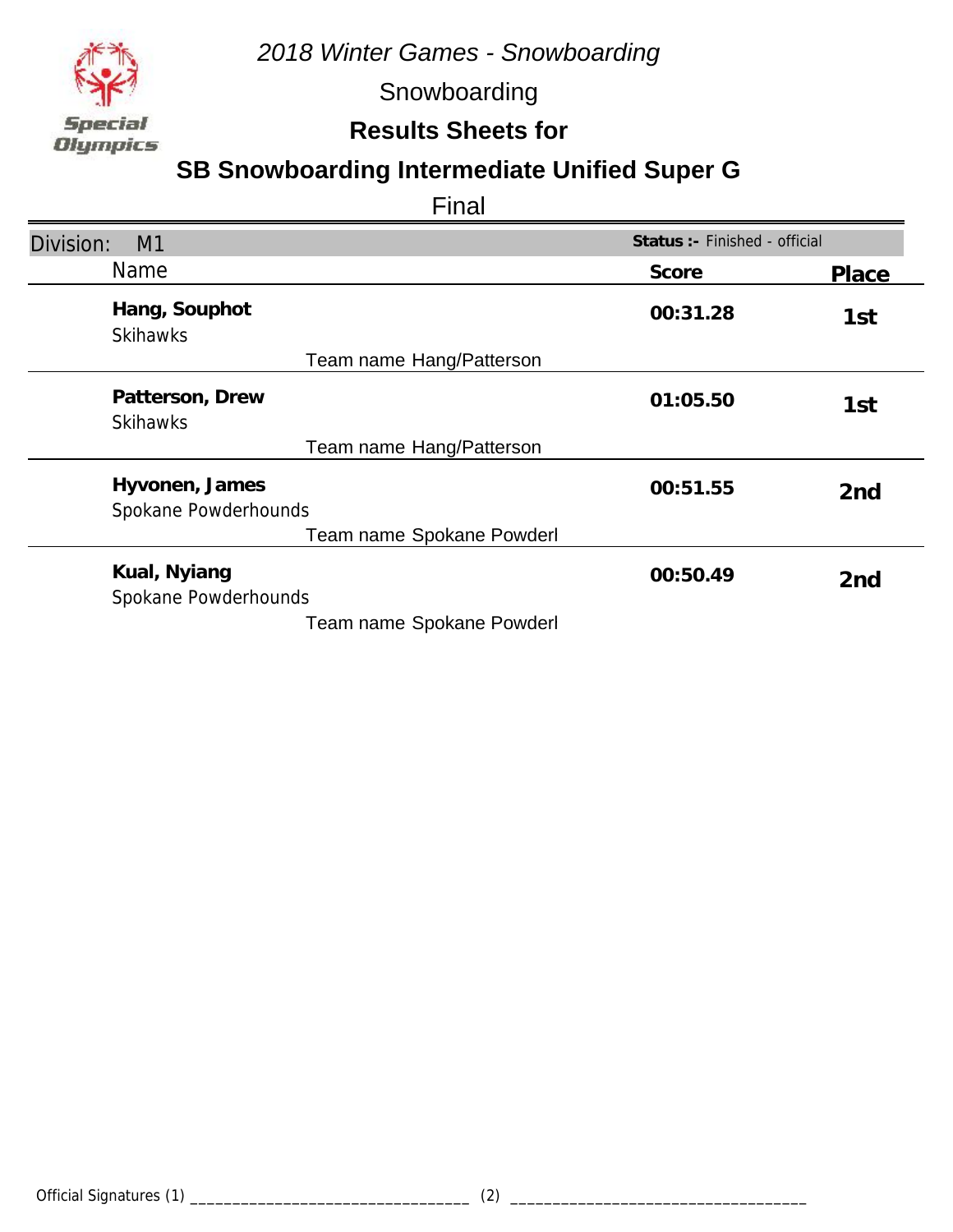

Snowboarding

### **Results Sheets for**

### **SB Snowboarding Intermediate Unified Super G**

| Division:<br>M1                        | Status :- Finished - official |                 |
|----------------------------------------|-------------------------------|-----------------|
| <b>Name</b>                            | Score                         | Place           |
| Hang, Souphot<br><b>Skihawks</b>       | 00:31.28                      | 1st             |
| Team name Hang/Patterson               |                               |                 |
| Patterson, Drew<br><b>Skihawks</b>     | 01:05.50                      | 1st             |
| Team name Hang/Patterson               |                               |                 |
| Hyvonen, James<br>Spokane Powderhounds | 00:51.55                      | 2 <sub>nd</sub> |
| Team name Spokane Powderl              |                               |                 |
| Kual, Nyiang<br>Spokane Powderhounds   | 00:50.49                      | 2 <sub>nd</sub> |
| Team name Spokane Powderl              |                               |                 |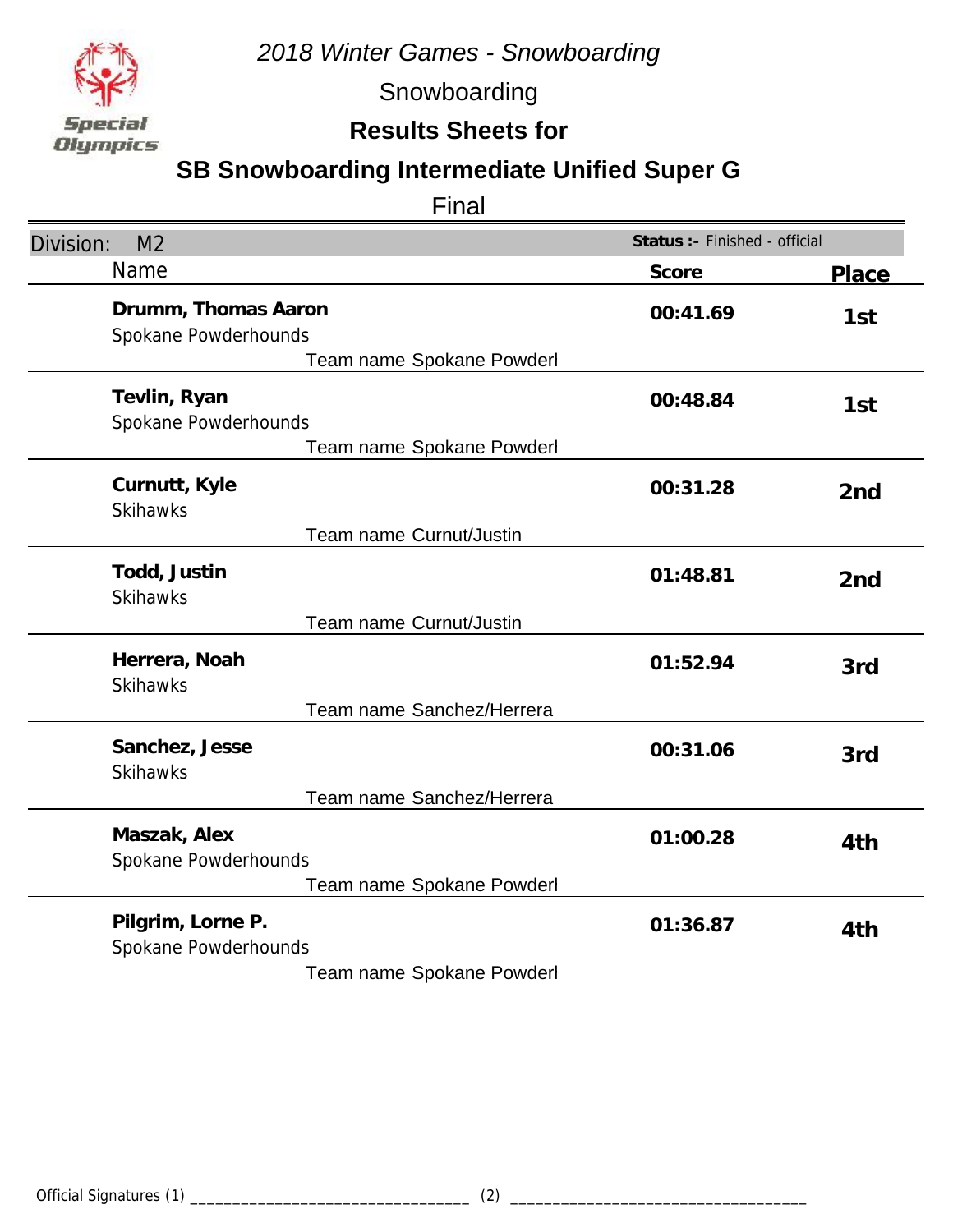

Snowboarding

### **Results Sheets for**

### **SB Snowboarding Intermediate Unified Super G**

| Division:<br>M <sub>2</sub>                                              | Status :- Finished - official |                 |
|--------------------------------------------------------------------------|-------------------------------|-----------------|
| Name                                                                     | Score                         | <b>Place</b>    |
| Drumm, Thomas Aaron<br>Spokane Powderhounds<br>Team name Spokane Powderl | 00:41.69                      | 1st             |
| Tevlin, Ryan<br>Spokane Powderhounds<br>Team name Spokane Powderl        | 00:48.84                      | 1st             |
| Curnutt, Kyle<br><b>Skihawks</b>                                         | 00:31.28                      | 2 <sub>nd</sub> |
| Team name Curnut/Justin                                                  |                               |                 |
| Todd, Justin<br><b>Skihawks</b>                                          | 01:48.81                      | 2 <sub>nd</sub> |
| Team name Curnut/Justin                                                  |                               |                 |
| Herrera, Noah<br><b>Skihawks</b>                                         | 01:52.94                      | 3rd             |
| Team name Sanchez/Herrera                                                |                               |                 |
| Sanchez, Jesse<br><b>Skihawks</b>                                        | 00:31.06                      | 3rd             |
| Team name Sanchez/Herrera                                                |                               |                 |
| Maszak, Alex<br>Spokane Powderhounds                                     | 01:00.28                      | 4th             |
| Team name Spokane Powderl                                                |                               |                 |
| Pilgrim, Lorne P.<br>Spokane Powderhounds                                | 01:36.87                      | 4th             |
| Team name Spokane Powderl                                                |                               |                 |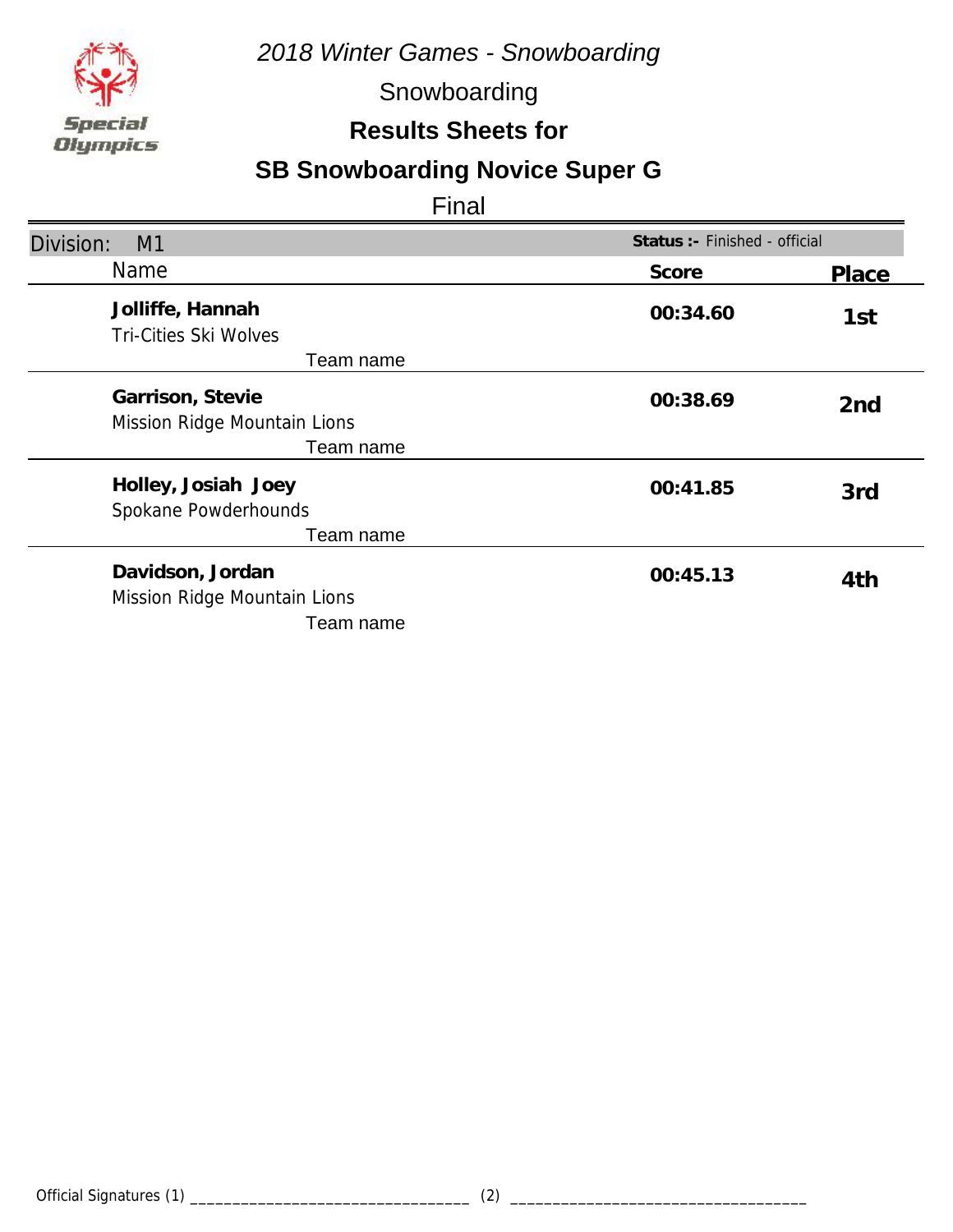

Snowboarding

#### **Results Sheets for**

# **SB Snowboarding Novice Super G**

| Division:<br>M1                                               | Status :- Finished - official |                 |
|---------------------------------------------------------------|-------------------------------|-----------------|
| <b>Name</b>                                                   | Score                         | Place           |
| Jolliffe, Hannah<br>Tri-Cities Ski Wolves<br>Team name        | 00:34.60                      | 1st             |
| Garrison, Stevie<br>Mission Ridge Mountain Lions<br>Team name | 00:38.69                      | 2 <sub>nd</sub> |
| Holley, Josiah Joey<br>Spokane Powderhounds<br>Team name      | 00:41.85                      | 3rd             |
| Davidson, Jordan<br>Mission Ridge Mountain Lions<br>Team name | 00:45.13                      | 4th             |